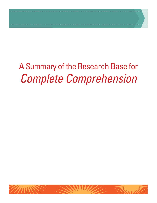# A Summary of the Research Base for *Complete Comprehension*

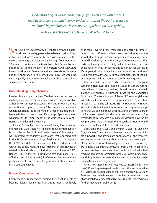*Understanding as you're reading helps you to engage with the text, read accurately, read with fluency, understand what the author is saying, and think beyond the text. In essence, comprehension is everything.*

**—Jennifer Serravallo***, Understanding Texts & Readers*

With *Complete Comprehension,* Jennifer Serravallo operationalizes top-quality, peer-reviewed research, simplifying instruction and increasing clarity for classroom teachers. This research summary describes six key findings from more than 30 research studies and meta-analyses that Serravallo was informed by in the creation of *Complete Comprehension*'s instructional model. Before we address these six key findings and their application in this curricular resource, we would be wise to quickly review a few general points about comprehension research and theory.

#### **Understanding Comprehension**

Reading is a complex process. Teaching children to read is challenging in part because comprehension is largely invisible. Although we can tap into student thinking through the use of questions and prompts, we can't be completely sure about what is happening inside the mind of a reader. In addition, different scholars and researchers offer a range of perspectives on what it means to "comprehend" a text, which can cause confusion for those doing the teaching.

Jennifer Serravallo writes in *Understanding Texts & Readers*  (Heinemann, 2018) that her thinking about comprehension is most shaped by "proficient reader research." This research was informed by cognitive psychology that appeared first in the 1980s and was used in professional texts throughout the 1990s and 2000s. It outlines how skilled readers interact with a text as they read and how teachers can explicitly teach related skills and habits of mind (Gordon and Pearson, 1983; Hansen, 1981; Duffy et al., 1987; Paris, Cross and Lipson, 1984; Afflerbach and Johnson, 1986). Proficient reader research suggests a student-centered middle ground for instruction amid many competing ideas.

## **Beyond Comprehension**

Comprehension is, indeed, everything if we want students to become lifelong lovers of reading, but its importance hardly

ends there. Investing time, materials, and energy in comprehension pays off across subject areas and throughout the school day. Comprehension supports accumulating background knowledge, critical thinking, connecting texts to other texts, and many other crucially valuable abilities that students need not only for college and career but for success in life in general. With both a fiction and a nonfiction version of *Complete Comprehension*, Serravallo supports student flexibility in applying skills no matter the text format or genre.

Her research base extends, however, well beyond comprehension itself. She relies on studies that make recommendations for teaching methods based on what research suggests are optimal instructional practices and conditions for learning. The combination of Serravallo's sources yields an instructional framework whose simplicity belies the depth of its research base. She calls it ASSESS  $\rightarrow$  EVALUATE  $\rightarrow$  TEACH. While it surely describes a host of common, longtime assumptions that we all hold about good teaching, the particulars of the framework reveal how she turns research into action. The remainder of this research summary will describe how the six key principles she draws from the research contribute to and shape the implementation of this framework.

Separating the ASSESS and EVALUATE steps in *Complete Comprehension*'s instructional framework may be one of its most powerful and immediate applications of the research. We may argue semantically about whether they are two parts of the same process of knowing readers well. However, by articulating a separation, Serravallo forges a more explicit link between students' needs and the specific and individualized teaching required to accelerate progress toward proficiency. Her skills progressions make that clearer and easier for teachers and the children they support.

Ultimately, these first two steps lead to TEACH and to more than 100 reading strategies in each of the fiction and nonfiction kits. Serravallo has popularized these in her *Reading Strategies Book*, and they provide a means of teaching into students' zone of proximal development that is as accessible for the teacher as for the student (Serravallo, 2015).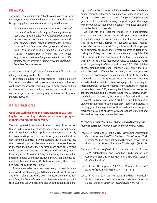#### **Filling a Void**

The famed researcher Richard Allington composed a foreword for *Complete Comprehension* that says a great deal about how it bridges a gap that researchers have recognized for years:

*Although elementary school educators have a variety of assessment tools for evaluating oral reading development, they have few tools for evaluating silent-reading development across the curriculum beyond standardized multiple-choice reading assessments. Because those tools are built upon short passages, it's always been a leap of faith to think they tell us much about students' comprehension of longer texts. For far too long, we've needed something more reliable. This is the primary reason everyone should welcome Serravallo's*  Complete Comprehension*.*

As Allington points out, *Complete Comprehension* fills a void that relying exclusively on short texts creates.

The research supporting this resource is explored below. This robust foundation will provide a source of comfort and confidence for schools seeking a way to better know all their readers using authentic, whole, relevant texts and to teach with strategies that are meaningfully data-informed to propel students forward.

## **PRINCIPLE ONE**

## **Goal-directed teaching and responsive feedback are key factors in helping students make the most progress in their reading comprehension.**

The most powerful instruction in the classroom is instruction that is tied to individual students, and instruction that honors the skills students are both applying independently and ready to begin working on. The benefits of goal-directed instruction continue to increase when teachers invite students into the goal-setting process because when students are invested in meeting their goals, they become more open to receiving feedback on their performance (Hattie and Timperley, 2007). Involving students in goal setting and keeping their individual interests in mind strengthen students' motivation and engagement (Guthrie and Klauda, 2014), thus increasing their overall achievement (Guthrie et al., 1999).

A common challenge for teachers doing this work is determining individual reading goals that match individual students, and then making sure those goals are actionable and achievable. *Complete Comprehension* offers teachers a way to pinpoint skills students use while reading and skills that need additional

support. Once the students' individual reading goals are determined through a teacher's evaluation of student responses during a whole-book assessment, *Complete Comprehension* guides teachers in clearly naming the goal or goals that align with the work each reader would benefit from most, and offers strategies tied to those goals.

As students and teachers engage in a goal-directed approach, students' work toward deeper comprehension along skills progressions becomes visible. Teachers can provide in-the-moment, responsive feedback to help students know what to work on next. "For goals to be effective, people need summary feedback that reveals progress in relation to their goals. If they do not know how they are doing, it is difficult or impossible for them to adjust the level or direction of their effort or to adjust their performance strategies to match what the goal requires" (Locke and Latham 2002, 708). Related to those findings, Hattie and Timperley (2007) assert that providing feedback is different than providing instruction, yet when the two are closely aligned, students benefit most. This implies that feedback has the greatest impact on students' learning when the feedback relates to how to engage with a task, or goal, more effectively. "Effective feedback from teachers to students has an effect size of 0.75, meaning that it is a robust method for spurring learning. But if feedback is not timely, specific, understandable, and actionable, the promise of feedback will not be realized" (Frey, Fisher, and Hattie 2018, 48). Fortunately, *Complete Comprehension* helps teachers not only specify and elucidate reading goals they might set for their readers, it also supports teachers in providing students with appropriate strategies and feedback as they work to meet their goals.

## *To read more about the impact of goal-directed teaching and feedback on student learning, consult the following sources:*

- Frey, N., D. Fisher, and J. Hattie. 2018. "Developing 'Assessment Capable' Learners: If We Want Students to Take Charge of Their Learning, We Can't Keep Relegating Them to a Passive Role in the Assessment Process." *Educational Leadership* 75(5): 46–51.
- Guthrie, J. T., A. Wigfield, J. L. Metsala, and K. E. Cox. 1999. "Motivational and Cognitive Predictors of Text Comprehension and Reading Amount." *Scientific Studies of Reading* 3: 231–56.
- Hattie, J., and H. Timperley. 2007. "The Power of Feedback." *Review of Educational Research* 77 (1): 81–112.
- Locke, E. A., and G. P. Latham. 2002. "Building a Practically Useful Theory of Goal Setting and Task Motivation: A 35-Year Odyssey." *American Psychologist* 57 (9): 705–17.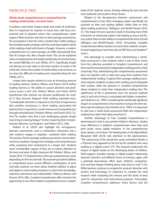## **Whole-book comprehension is assessed best by reading whole books, not short texts.**

If students read whole chapter books and works of nonfiction, then it's important for teachers to know how well they comprehend and to pinpoint where their comprehension needs support. When teachers rely only on short-passage assessments, the assumption is that the work a student does while reading a few hundred words correlates with the work that student will do while reading a book with dozens of pages. However, a reader's comprehension of a short passage can differ dramatically from that of a longer text, like a chapter book. This can be explained when considering how the length and density of a text increases the overall difficulty of a text (White, 2011). Specifically, length and density of a text refers to the total number of words in the entire text. And as the number of words within a text increase, so too does the difficulty of reading and comprehending the text (White, 2011).

Longer texts require students to use an increasing amount of reading stamina. Hiebert, Wilson, and Trainin (2010) define reading stamina as "the ability to sustain attention and proficiency across a text" (63). Hiebert, Wilson, and Trainin (2010) hypothesize that stamina can become problematic for readers if they become fatigued while reading extended texts. "Considerable attention is required on the kind of experiences that underlie consistency in silent reading, particularly the stamina that is required to sustain interest and comprehension through extended texts" (Hiebert, Wilson, and Trainin 2010, 72). And "for readers who find a text challenging, greater length may bring increasing fatigue," further impacting their comprehension (Mesmer, Cunningham, and Hiebert 2012, 246).

Hiebert et al. (2010) also highlight the incongruence between assessments used in elementary classrooms and a task students engage in regularly—sustained silent reading. The brevity of short-passage reading assessments cannot determine how students manage their strategies and comprehension while sustaining their involvement in a longer text. Students need "considerable support if they are to sustain attention to the texts and tasks of daily classroom life" (Hiebert, Wilson, and Trainin 2010, 73). Related to this is the way comprehension varies depending on the text and task. "By examining students' abilities to comprehend across several different combinations of texts and tasks, teachers can learn about students' abilities to adjust and adapt to novel reading situations in which their knowledge, expertise, and interest vary substantially" (Valencia, Wixson, and Pearson 2014, 286). *Complete Comprehension* offers teachers the opportunity to see what students comprehend across a chapter

book of the students' choice, thereby making the text and task more authentic and student-choice driven.

Related to the discrepancies between assessments and comprehension is how often emerging readers specifically are assessed on their oral reading abilities "rather than on their silent reading proficiency" (Allington and McGill-Franzen 2010, 51). The impact of such a practice results in focusing most of the instruction on improving readers' oral reading accuracy and fluency rather than on their ability to comprehend the texts at hand (Allington and McGill-Franzen, 2010). Fortunately, *Complete Comprehension* allows teachers to assess their students' comprehension beginning in texts that start at F&P Text Level Gradient™ Level J.

One advantage to consider when administering a wholebook assessment is that students select a text of their choice from the collection provided in *Complete Comprehension* and then read the text during the independent reading portion of the school day. Thus, administering this comprehension assessment does not interfere with or take time away from students' time independently reading. A typical short-passage reading assessment requires students to pause their reading and sit alongside their teacher, while the protocol in *Complete Comprehension*  allows students to retain their independent reading time. The significance of this is paramount since the amount students read, in and out of school, is associated with higher comprehension (Guthrie et al., 1999). Considering the statistically significant impact on comprehension when teachers increase the time students spend reading in class (Guthrie et al., 1999), it is important to note how a whole-book assessment folds into independent reading time rather than takes away from it.

Another advantage of how *Complete Comprehension* is administered is that it uses printed children's literature. Studies show differences in students' comprehension when they read print books versus digital mediums. In her comprehensive book, *Reader, Come Home: The Reading Brain in the Digital World*, Maryanne Wolf (2018) calls attention to this phenomenon. "The sequencing of the sometimes easily overlooked details in a fictional story appeared to be lost by the students who were reading on a digital screen" (77). This research underscores the impact of digital media on the developing brains of children. Wolf suggests "possible changes in digital readers' relationship between attention and different forms of memory, again with a potential downstream effect upon children's comprehension and their deeper thinking about what they've read" (116). While teachers continue to compete for students' attention with screens and technology, it's important to consider the cited research while evaluating the amount and the kinds of texts used for assessment and instructional purposes. Fortunately, *Complete Comprehension* addresses these factors and the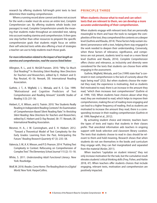research by offering students full-length print texts to best determine their reading comprehension.

Where a running record alone cannot and does not account for the work a reader must do across an entire text, *Complete Comprehension* can. By offering students whole books (not passages) to read, *Complete Comprehension* unveils the meaning that students make throughout an extended text, taking into account reading stamina and comprehension. It then goes one step further than other resources to pinpoint the specific comprehension goals that students might focus on within their self-selected texts while also offering a host of strategies a teacher can use to help students reach those goals.

## *For more information related to the impact of text length on stamina and comprehension, read the sources listed below:*

- Allington, R. L., and A. McGill-Franzen. 2010. "Why So Much Oral Reading?" In *Revisiting Silent Reading: New Directions for Teachers and Researchers*, edited by E. Hiebert and D. Ray Reutzel, 45–56. Newark, DE: International Reading Association.
- Guthrie, J. T., A. Wigfield, J. L. Metsala, and K. E. Cox. 1999. "Motivational and Cognitive Predictors of Text Comprehension and Reading Amount." *Scientific Studies of Reading* 3 (3): 231–56.
- Hiebert, E., K. Wilson, and G. Trainin. 2010. "Are Students Really Reading in Independent Reading Contexts? An Examination of Comprehension-Based Silent Reading Rate." In *Revisiting Silent Reading: New Directions for Teachers and Researchers*, edited by E. Hiebert and D. Ray Reutzel, 58–77. Newark, DE: International Reading Association.
- Mesmer, H. A., J. W. Cunningham, and E. H. Hiebert. 2012. "Toward a Theoretical Model of Text Complexity for the Early Grades: Learning from the Past, Anticipating the Future." *Reading Research Quarterly* 47 (3): 235–58.
- Valencia, S. W., K. K. Wixson, and P. D. Pearson. 2014. "Putting Text Complexity in Context: Refocusing on Comprehension of Complex Text." *The Elementary School Journal* 115 (2): 15–18.
- White, S. 2011. *Understanding Adult Functional Literacy*. New York: Routledge.
- Wolf, M. 2018. *Reader, Come Home: The Reading Brain in a Digital World.* New York: HarperCollins.

# **PRINCIPLE THREE**

# **When students choose what to read and can select texts that are relevant to them, we can develop a more accurate understanding of their comprehension.**

When students engage with relevant texts that are personally meaningful to them and have the tools to navigate the complexities of the text, they comprehend the contents on a deeper level (Guthrie and Klauda, 2014). These factors help sustain students' perseverance with a text, helping them stay engaged in the work needed to deepen their understanding. Conversely, when these factors of relevance, significance, and competence are not present, students tend to read on a more literal level (Guthrie and Klauda, 2014). *Complete Comprehension*  offers choice and relevance, as inclusivity and diversity were considered for the texts that students can choose from while engaging in the assessment.

Guthrie, Wigfield, Metsala, and Cox (1999) state that "a constraint in text comprehension is the lack of curiosity about the topic being read" (252). But when students choose the material they read, the experience is motivating. And as students feel motivated to read, there is an increase in the amount they read, "which then increases text comprehension" (Guthrie et al. 1999, 150). When students have choices about what they read, they are motivated to read, which helps to improve their comprehension, making the act of reading more engaging and can lead to a higher frequency of reading. And as students are motivated to increase the amount they read, there is a corresponding increase in their reading comprehension (Guthrie et al. 1999; Naeghel et al., 2012).

By activating student choice and interest, teachers learn the types of texts and topics that students in their classes prefer. That anecdotal information aids teachers in ongoing support with book selection and classroom library curation. The texts that students choose to read in class should be relevant to them and hold meaning. Research shows that when students do not see themselves in the books and curriculum they engage with, they can feel marginalized and separated from the material (Kesler, 2011).

When teachers "capitalize on student interest," they not only increase motivation for the task, but the cumulative result elevates students' critical thinking skills (Frey, Fisher, and Hattie 2018, 47). When teachers offer students choices that include engaging, relevant texts, motivation and comprehension are positively impacted.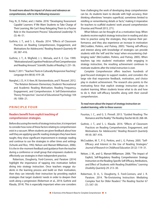- Frey, N., D. Fisher, and J. Hattie. 2018. "Developing 'Assessment Capable' Learners: If We Want Students to Take Charge of Their Learning, We Can't Keep Relegating Them to a Passive Role in the Assessment Process." *Educational Leadership* 75 (5): 46–51.
- Guthrie, J. T., and S. L. Klauda. 2014. "Effects of Classroom Practices on Reading Comprehension, Engagement, and Motivations for Adolescents." *Reading Research Quarterly* 49 (4): 387–416.
- Guthrie, J. T., A. Wigfield, J. L. Metsala, and K. E. Cox. 1999. "Motivational and Cognitive Predictors of Text Comprehension and Reading Amount." *Scientific Studies of Reading* 3: 231–56.
- Kesler, T. 2011. "Teachers' Texts in Culturally Responsive Teaching." *Language Arts* 88 (6): 419–28.
- Naeghel, J. D., H. V. Keer, M. Vansteenkiste, and Y. Rosseel. 2012. "The Relation Between Elementary Students' Recreational and Academic Reading Motivation, Reading Frequency, Engagement, and Comprehension: A Self-Determination Theory Perspective." *Journal of Educational Psychology* 104 (4): 1006–21.

# **PRINCIPLE FOUR**

## **Readers benefit from explicit teaching of comprehension strategies.**

Before discussing the merits of strategy instruction, it is important to consider how none of these factors relating to comprehension exist in a vacuum. When students are given feedback about how well they are applying specific reading strategies they have been taught, they show significant improvement in strategic reading and continue to use the strategies in other times and settings (Schunk and Rice, 1992; Nelson and Manset-Williamson, 2006). It is the in-the-moment feedback and guidance from the teacher during a conference or small group that empowers students to effectively use strategies in their independent practice.

Robertson, Dougherty, Ford-Connors, and Paratore (2014) highlight the importance of tapping into motivation before diving into strategy instruction. Once teachers engage students in the learning process and build on their motivation, then they can intensify their instruction by providing explicit strategies that target students' needs in order to deepen their work along a progression (Robertson et al., 2014; Guthrie and Klauda, 2014). This is especially important when one considers

how challenging the work of developing deep comprehension can be. As students learn to decode with high accuracy, their thinking oftentimes "remains superficial, sometimes limited to retelling or remembering details or facts," making it imperative for teachers to scaffold students' work around comprehension (Fountas and Pinnell 2013, 271).

What follows can be thought of as a motivation loop. When students receive explicit strategy instruction in reading and also time to practice using the strategies, they improve their performance, and they also experience an increase in motivation (McCrudden, Perkins, and Putney, 2005). "Having self-efficacy and interest along with knowledge of strategies can provide students with the 'will' and the 'ways' when encountering challenging tasks" (McCrudden, Perkins, and Putney, 2005). When teachers tap into students' motivation while engaging in strategy instruction, the resulting achievement continues to motivate students after the initial instruction is over.

*Complete Comprehension* offers teachers hundreds of goal-focused strategies to support readers, and considers the large role that responsive feedback, motivation, and choice play in student achievement. The research also points to the motivating force that explicit strategy instruction plays in student learning. When students know what to do and how to do it, their self-efficacy benefits along with their overall comprehension.

## *To read more about the impact of strategy instruction on student learning, refer to these sources:*

- Fountas, I. C., and G. S. Pinnell. 2013. "Guided Reading: The Romance and the Reality." *The Reading Teacher* 66 (4): 268–84.
- Guthrie, J. T., and S. L. Klauda. 2014. "Effects of Classroom Practices on Reading Comprehension, Engagement, and Motivations for Adolescents." *Reading Research Quarterly* 49 (4): 387–416.
- McCrudden, M. T., P. G. Perkins, and L. G. Putney. 2005. "Self-Efficacy and Interest in the Use of Reading Strategies." *Journal of Research in Childhood Education* 20 (2): 119–31.
- Nelson, J. M., and G. Manset-Williamson. 2006. "The Impact of Explicit, Self-Regulatory Reading Comprehension Strategy Instruction on the Reading-Specific Self-Efficacy, Attributions, and Effect of Students with Reading Disabilities." *Learning Disability Quarterly* 29: 213–30.
- Robertson, D. A., S. Dougherty, E. Ford-Connors, and J. R. Paratore. 2014. "Re-Envisioning Instruction: Mediating Complex Text for Older Readers." *The Reading Teacher* 67 (7): 547–59.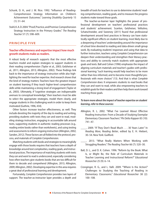- Schunk, D. H., and J. M. Rice. 1992. "Influence of Reading-Comprehension Strategy Information on Children's Achievement Outcomes." *Learning Disability Quarterly* 15 (1): 51–64.
- Stahl, K. A. D. 2004. "Proof, Practice, and Promise: Comprehension Strategy Instruction in the Primary Grades." *The Reading Teacher* 57 (7): 598–609.

# **PRINCIPLE FIVE**

## **Teacher effectiveness and expertise impact how much growth students make as readers.**

A robust body of research supports that the most effective teachers model and explain strategies to support students in their reading comprehension (Taylor et al., 2003; Gelzheiser et al., 2011; Allington, 2013; Allington, 2002). These findings link back to the importance of strategy instruction while also highlighting the need for teacher expertise. And research shows that the kind of strategy matters: Teachers have the greatest impact on student learning if they teach higher-level comprehension skills while maintaining a strong level of engagement (Taylor et al., 2003). Ultimately, if "cognitive strategies are indispensable avenues to conceptual knowledge," then teachers must be able to select the appropriate strategies, model them clearly, and engage students in this challenging work in order to keep them motivated (Guthrie, 1996, 434).

Other factors increase teacher effectiveness, as well. They include devoting the majority of the day to reading and writing, providing students with texts they *can* and *want to* read, modeling strategy instruction, engaging in accountable talk around texts, supporting students in authentic reading processes (e.g., reading entire books rather than worksheets), and using testing and assessments to inform ongoing instruction (Allington, 2002; Sanden, 2012). These factors are all folded into the protocol, process, and materials of *Complete Comprehension.*

Matching students with books and strategies to meaningfully engage with those books requires that teachers have a depth of knowledge around text complexities, reading goals, and instructional practices. The importance of matching students with texts they *can* and *want* to read is underscored, especially considering how often teachers give students books that are too difficult for them to decode and comprehend (Allington, 2013; Allington, 2009; Allington, 2002). Developing expertise in this area requires a great deal of professional learning and development.

Fortunately, *Complete Comprehension* provides two layers of support. The teacher-as-instructor layer provides a depth and

breadth of tools for teachers to use to determine students' reading comprehension, reading goals, and to measure the progress students make toward those goals.

The teacher-as-learner layer highlights the power of professional development on teachers' professional practices and students' achievement. Scanlon, Gelzheiser, Vellutino, Schatschneider, and Sweeney (2011) found that professional development around best practices in literacy can have statistically significant effects on student learning, most likely due to a deepening of teachers' understanding around the importance of school time devoted to reading and data-driven small-group work. By evaluating students' responses and using that data to further instruction, teachers using *Complete Comprehension* can deepen their understanding and strengthen their literacy practices and ability to correctly match students with appropriate goals and texts. Ball and Cohen (1996) emphasize the impact of aligning curriculum materials and teacher's guides with professional learning: "such learning would help teachers to be more rather than less informed, and to become more thoughtful professionals with more choices" (13). And that is what *Complete Comprehension* does: It empowers students to read books that they can and want to read, while also empowering teachers to establish goals for their readers and then help them work toward reaching those goals.

## *To learn more about the impact of teacher expertise on student learning, refer to these sources:*

- Allington, R. L. 2002. "What I've Learned About Effective Reading Instruction: From a Decade of Studying Exemplar Elementary Classroom Teachers." *Phi Delta Kappan* 83 (10): 741–47.
	- \_\_\_\_. 2009. "If They Don't Read Much . . . 30 Years Later." In *Reading More, Reading Better*, edited by E. H. Hiebert, 30–54. New York: Guilford.
- \_\_\_\_. 2013. "What Really Matters When Working with Struggling Readers." *The Reading Teacher* 66 (7): 520–30.
- Ball, D. L., and D. K. Cohen. 1996. "Reform by the Book: What Is, or Might Be, the Role of Curriculum Materials in Teacher Learning and Instructional Reform?" *Educational Researcher* 25 (9): 6–14.
- Cronginger, R. G., and L. Valli. 2009. "'Where Is the Action?' Challenges to Studying the Teaching of Reading in Elementary Classrooms." *Educational Researcher* 38 (2): 100–108.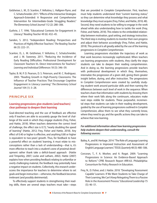- Gelzheiser, L. M., D. Scanlon, F. Vellutino, L. Hallgren-Flynn, and C. Schatschneider. 2011. "Effects of the Interactive Strategies Approach-Extended: A Responsive and Comprehensive Intervention for Intermediate-Grade Struggling Readers." *The Elementary School Journal* 112 (2): 280–306.
- Guthrie, J. T. 1996. "Educational Contexts for Engagement in Literacy." *Reading Teacher* 49 (6): 432–45.
- Sanden, S. 2012. "Independent Reading: Perspectives and Practices of Highly Effective Teachers." *The Reading Teacher* 66 (3): 222–31.
- Scanlon, D., L. M. Gelzheiser, F. Vellutino, C. Schatschneider, and J. M. Sweeney. 2011. "Reducing the Incidence of Early Reading Difficulties: Professional Development for Classroom Teachers Vs. Direct Interventions for Teachers." *Learning and Individual Differences* 18 (3): 346–59.
- Taylor, B. M, P. D. Pearson, D. S. Peterson, and M. C. Rodriguez. 2003. "Reading Growth in High-Poverty Classrooms: The Influence of Teacher Practices That Encourage Cognitive Engagement in Literacy Learning." *The Elementary School Journal* 104 (1): 3–28.

# **PRINCIPLE SIX**

## **Learning progressions give students (and teachers) clear pathways to deepen their learning**

Goal-directed teaching and the use of feedback are effective only if teachers are able to accurately gauge the level of challenge of the work in which they engage students (Frey, Fisher, and Hattie, 2018). When teachers determine the correct level of challenge, the effect size is 0.72, "nearly doubling the speed of learning" (Hattie, 2012; Frey, Fisher and Hattie, 2018). Any effect of 0.40 or higher is effective, and anything 0.80 or higher is equivalent to two-years' growth. Thus, for feedback to have a powerful effect on students' learning, it must relate to misconceptions rather than a lack of understanding—that is, it's more effective to teach into a student's zone of proximal development rather thank take a deficit-based approach (Hattie and Timperley, 2007; Locke and Latham, 2002). Hattie (2007) explains how when providing feedback relating to unfamiliar or overly challenging material, the feedback may potentially have a negative impact on students. Collectively, this research underscores the importance for teachers to determine where to set goals and begin instruction—otherwise, the feedback becomes irrelevant (and possibly detrimental).

To effectively support students in strengthening their reading skills, there are several steps teachers must take—steps that are provided in *Complete Comprehension*. First, teachers must help students understand their "current learning status," so they can determine what knowledge they possess and what knowledge they must acquire (Frey, Fisher, and Hattie, 2018, 48). Second, they need students to be willing to engage in the work ahead while also understanding how to tackle the work (Frey, Fisher, and Hattie, 2018). This relates to the embedded relationship between motivation, goal setting, and strategy instruction. The third step is inviting students to monitor their own progress and adjust their behavior accordingly (Frey, Fisher, and Hattie, 2018). This protocol is all greatly aided by the use of the learning progressions in *Complete Comprehension*.

Learning progressions elucidate the trajectory of work as that work becomes increasingly sophisticated. When teachers use learning progressions with students, they clarify the steps students can take to deepen their reading comprehension. And in doing so, the learning progressions provide teachers with professional development in which they, themselves, internalize the progression of a given skill, giving them greater insight before, during, and after instruction. The progressions in *Complete Comprehension* were created by carefully studying student work around particular skills and then naming the differences between each level of work in the sequence. When teachers share that information with students by showing them where their work falls along the continuum, educators make next steps visible for students. These purposeful, incremental steps that students can take in their reading development, guided by the use of learning progressions outlined in *Complete Comprehension,* allow them to see what they currently know, where they need to go, and the specific actions they can take to achieve that new learning.

## *For additional information about how learning progressions help students deepen their understanding, consult the following sources:*

- Bailey, A., and M. Heritage. 2014. "The Role of Language Learning Progressions in Improved Instruction and Assessment of English Language Learners." *TESOL Quarterly* 48 (3): 480–506.
- Corcoran, T., F. A. Mosher, and A. Rogat. 2009. "Learning Progressions in Science: An Evidence-Based Approach to Reform." CPRE Research Report #RR-63. Philadelphia: Consortium for Policy Research in Education.
- Frey, N., D. Fisher, and J. Hattie. 2018. "Developing 'Assessment Capable' Learners: If We Want Students to Take Charge of Their Learning, We Can't Keep Relegating Them to a Passive Role in the Assessment Process." *Educational Leadership* 75 (5): 46–51.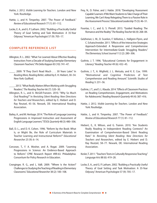- Hattie, J. 2012. *Visible Learning for Teachers*. London and New York: Routledge.
- Hattie, J., and H. Timperley. 2007. "The Power of Feedback." *Review of Educational Research* 77 (1): 81–112.
- Locke, E. A., and G. P. Latham. 2002. "Building a Practically Useful Theory of Goal Setting and Task Motivation: A 35-Year Odyssey." American Psychologist 57 (9): 705–17.

# **COMPLETE REFERENCE LIST**

- Allington, R. L. 2002. "What I've Learned About Effective Reading Instruction: From a Decade of Studying Exemplar Elementary Classroom Teachers." *Phi Delta Kappan* 83 (10): 741–47.
	- \_\_\_\_. 2009. "If They Don't Read Much . . . 30 Years Later." In *Reading More, Reading Better*, edited by E. H. Hiebert, 30–54. New York: Guilford.

\_\_\_\_. 2013. "What Really Matters When Working with Struggling Readers." *The Reading Teacher* 66 (7): 520–30.

- Allington, R. L., and A. McGill-Franzen. 2010. "Why So Much Oral Reading?" In *Revisiting Silent Reading: New Directions for Teachers and Researchers*, edited by E. Hiebert and D. Ray Reutzel, 45–56. Newark, DE: International Reading Association.
- Bailey, A., and M. Heritage. 2014. "The Role of Language Learning Progressions in Improved Instruction and Assessment of English Language Learners." *TESOL Quarterly* 48 (3): 480–506.
- Ball, D. L., and D. K. Cohen. 1996. "Reform by the Book: What Is, or Might Be, the Role of Curriculum Materials in Teacher Learning and Instructional Reform?" *Educational Researcher* 25 (9): 6–14.
- Corcoran, T., F. A. Mosher, and A. Rogat. 2009. "Learning Progressions in Science: An Evidence-Based Approach to Reform." CPRE Research Report #RR-63. Philadelphia: Consortium for Policy Research in Education.
- Cronginger, R. G., and L. Valli. 2009. "'Where Is the Action?' Challenges to Studying the Teaching of Reading in Elementary Classrooms." *Educational Researcher* 38 (2): 100–108.
- Frey, N., D. Fisher, and J. Hattie. 2018. "Developing 'Assessment Capable' Learners: If We Want Students to Take Charge of Their Learning, We Can't Keep Relegating Them to a Passive Role in the Assessment Process." *Educational Leadership* 75 (5): 46–51.
- Fountas, I. C., and G. S. Pinnell. 2013. "Guided Reading: The Romance and the Reality." *The Reading Teacher* 66 (4): 268–84.
- Gelzheiser, L. M., D. Scanlon, F. Vellutino, L. Hallgren-Flynn, and C. Schatschneider. 2011. "Effects of the Interactive Strategies Approach-Extended: A Responsive and Comprehensive Intervention for Intermediate-Grade Struggling Readers." *The Elementary School Journal* 112 (2): 280–306.
- Guthrie, J. T. 1996. "Educational Contexts for Engagement in Literacy." *Reading Teacher* 49 (6): 432–45.
- Guthrie, J. T., A. Wigfield, J. L. Metsala, and K. E. Cox. 1999. "Motivational and Cognitive Predictors of Text Comprehension and Reading Amount." *Scientific Studies of Reading* 3: 231–56.
- Guthrie, J. T., and S. L. Klauda. 2014. "Effects of Classroom Practices on Reading Comprehension, Engagement, and Motivations for Adolescents." *Reading Research Quarterly* 49 (4): 387–416.
- Hattie, J. 2012. *Visible Learning for Teachers*. London and New York: Routledge.
- Hattie, J., and H. Timperley. 2007. "The Power of Feedback." *Review of Educational Research* 77 (1): 81–112.
- Hiebert, E., K. Wilson, and G. Trainin. 2010. "Are Students Really Reading in Independent Reading Contexts? An Examination of Comprehension-Based Silent Reading Rate." In *Revisiting Silent Reading: New Directions for Teachers and Researchers*, edited by E. Hiebert and D. Ray Reutzel, 58–77. Newark, DE: International Reading Association.
- Kesler, T. 2011. "Teachers' Texts in Culturally Responsive Teaching." *Language Arts* 88 (6): 419–28.
- Locke, E. A., and G. P. Latham. 2002. "Building a Practically Useful Theory of Goal Setting and Task Motivation: A 35-Year Odyssey." American Psychologist 57 (9): 705–17.